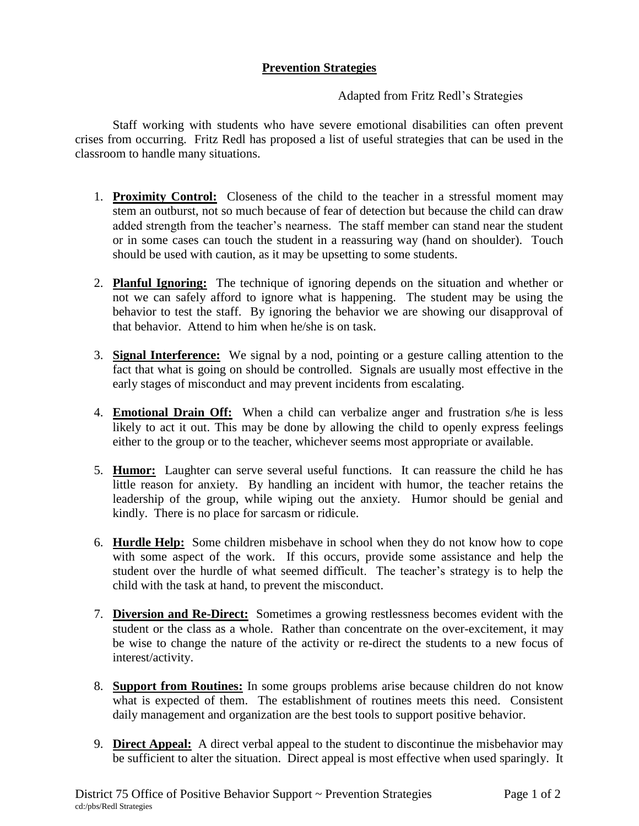## **Prevention Strategies**

## Adapted from Fritz Redl's Strategies

Staff working with students who have severe emotional disabilities can often prevent crises from occurring. Fritz Redl has proposed a list of useful strategies that can be used in the classroom to handle many situations.

- 1. **Proximity Control:** Closeness of the child to the teacher in a stressful moment may stem an outburst, not so much because of fear of detection but because the child can draw added strength from the teacher's nearness. The staff member can stand near the student or in some cases can touch the student in a reassuring way (hand on shoulder). Touch should be used with caution, as it may be upsetting to some students.
- 2. **Planful Ignoring:** The technique of ignoring depends on the situation and whether or not we can safely afford to ignore what is happening. The student may be using the behavior to test the staff. By ignoring the behavior we are showing our disapproval of that behavior. Attend to him when he/she is on task.
- 3. **Signal Interference:** We signal by a nod, pointing or a gesture calling attention to the fact that what is going on should be controlled. Signals are usually most effective in the early stages of misconduct and may prevent incidents from escalating.
- 4. **Emotional Drain Off:** When a child can verbalize anger and frustration s/he is less likely to act it out. This may be done by allowing the child to openly express feelings either to the group or to the teacher, whichever seems most appropriate or available.
- 5. **Humor:** Laughter can serve several useful functions. It can reassure the child he has little reason for anxiety. By handling an incident with humor, the teacher retains the leadership of the group, while wiping out the anxiety. Humor should be genial and kindly. There is no place for sarcasm or ridicule.
- 6. **Hurdle Help:** Some children misbehave in school when they do not know how to cope with some aspect of the work. If this occurs, provide some assistance and help the student over the hurdle of what seemed difficult. The teacher's strategy is to help the child with the task at hand, to prevent the misconduct.
- 7. **Diversion and Re-Direct:** Sometimes a growing restlessness becomes evident with the student or the class as a whole. Rather than concentrate on the over-excitement, it may be wise to change the nature of the activity or re-direct the students to a new focus of interest/activity.
- 8. **Support from Routines:** In some groups problems arise because children do not know what is expected of them. The establishment of routines meets this need. Consistent daily management and organization are the best tools to support positive behavior.
- 9. **Direct Appeal:** A direct verbal appeal to the student to discontinue the misbehavior may be sufficient to alter the situation. Direct appeal is most effective when used sparingly. It